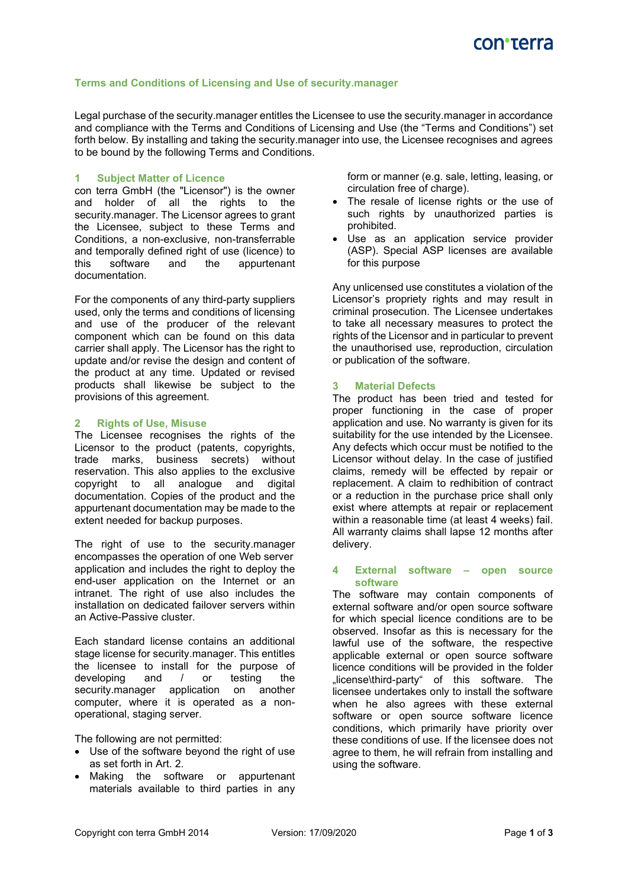## **Terms and Conditions of Licensing and Use of security.manager**

Legal purchase of the security.manager entitles the Licensee to use the security.manager in accordance and compliance with the Terms and Conditions of Licensing and Use (the "Terms and Conditions") set forth below. By installing and taking the security.manager into use, the Licensee recognises and agrees to be bound by the following Terms and Conditions.

### **1 Subject Matter of Licence**

con terra GmbH (the "Licensor") is the owner and holder of all the rights to the security.manager. The Licensor agrees to grant the Licensee, subject to these Terms and Conditions, a non-exclusive, non-transferrable and temporally defined right of use (licence) to this software and the appurtenant documentation.

For the components of any third-party suppliers used, only the terms and conditions of licensing and use of the producer of the relevant component which can be found on this data carrier shall apply. The Licensor has the right to update and/or revise the design and content of the product at any time. Updated or revised products shall likewise be subject to the provisions of this agreement.

#### **2 Rights of Use, Misuse**

The Licensee recognises the rights of the Licensor to the product (patents, copyrights, trade marks, business secrets) without reservation. This also applies to the exclusive copyright to all analogue and digital documentation. Copies of the product and the appurtenant documentation may be made to the extent needed for backup purposes.

The right of use to the security.manager encompasses the operation of one Web server application and includes the right to deploy the end-user application on the Internet or an intranet. The right of use also includes the installation on dedicated failover servers within an Active-Passive cluster.

Each standard license contains an additional stage license for security.manager. This entitles the licensee to install for the purpose of developing and / or testing the security.manager application on another computer, where it is operated as a nonoperational, staging server.

The following are not permitted:

- Use of the software beyond the right of use as set forth in Art. 2.
- Making the software or appurtenant materials available to third parties in any

form or manner (e.g. sale, letting, leasing, or circulation free of charge).

- The resale of license rights or the use of such rights by unauthorized parties is prohibited.
- Use as an application service provider (ASP). Special ASP licenses are available for this purpose

Any unlicensed use constitutes a violation of the Licensor's propriety rights and may result in criminal prosecution. The Licensee undertakes to take all necessary measures to protect the rights of the Licensor and in particular to prevent the unauthorised use, reproduction, circulation or publication of the software.

#### **3 Material Defects**

The product has been tried and tested for proper functioning in the case of proper application and use. No warranty is given for its suitability for the use intended by the Licensee. Any defects which occur must be notified to the Licensor without delay. In the case of justified claims, remedy will be effected by repair or replacement. A claim to redhibition of contract or a reduction in the purchase price shall only exist where attempts at repair or replacement within a reasonable time (at least 4 weeks) fail. All warranty claims shall lapse 12 months after delivery.

#### **4 External software – open source software**

The software may contain components of external software and/or open source software for which special licence conditions are to be observed. Insofar as this is necessary for the lawful use of the software, the respective applicable external or open source software licence conditions will be provided in the folder "license\third-party" of this software. The licensee undertakes only to install the software when he also agrees with these external software or open source software licence conditions, which primarily have priority over these conditions of use. If the licensee does not agree to them, he will refrain from installing and using the software.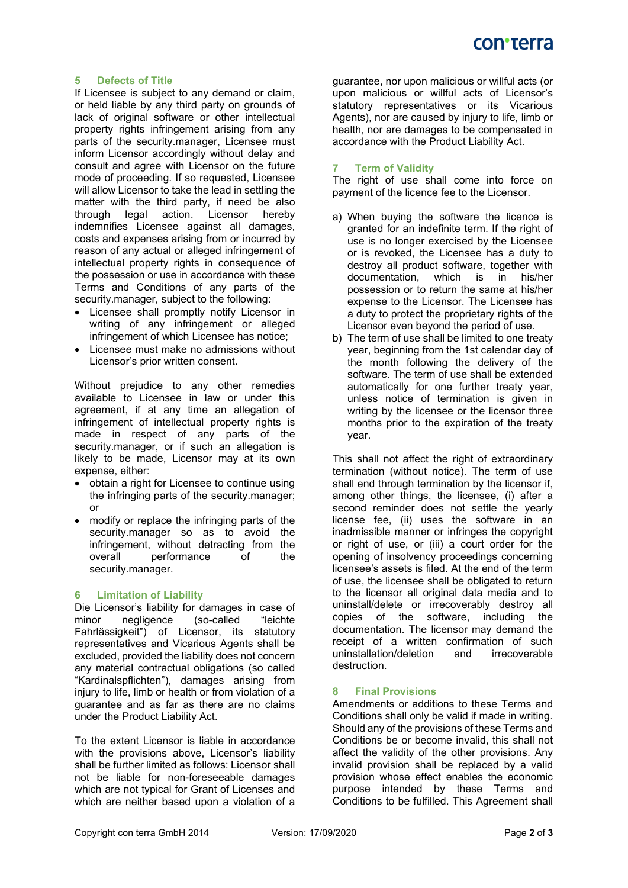## **5 Defects of Title**

If Licensee is subject to any demand or claim, or held liable by any third party on grounds of lack of original software or other intellectual property rights infringement arising from any parts of the security.manager, Licensee must inform Licensor accordingly without delay and consult and agree with Licensor on the future mode of proceeding. If so requested, Licensee will allow Licensor to take the lead in settling the matter with the third party, if need be also<br>through legal action. Licensor hereby through legal action. Licensor hereby indemnifies Licensee against all damages, costs and expenses arising from or incurred by reason of any actual or alleged infringement of intellectual property rights in consequence of the possession or use in accordance with these Terms and Conditions of any parts of the security.manager, subject to the following:

- Licensee shall promptly notify Licensor in writing of any infringement or alleged infringement of which Licensee has notice;
- Licensee must make no admissions without Licensor's prior written consent.

Without prejudice to any other remedies available to Licensee in law or under this agreement, if at any time an allegation of infringement of intellectual property rights is made in respect of any parts of the security.manager, or if such an allegation is likely to be made, Licensor may at its own expense, either:

- obtain a right for Licensee to continue using the infringing parts of the security.manager; or
- modify or replace the infringing parts of the security.manager so as to avoid the infringement, without detracting from the overall performance of the security.manager.

## **6 Limitation of Liability**

Die Licensor's liability for damages in case of negligence Fahrlässigkeit") of Licensor, its statutory representatives and Vicarious Agents shall be excluded, provided the liability does not concern any material contractual obligations (so called "Kardinalspflichten"), damages arising from injury to life, limb or health or from violation of a guarantee and as far as there are no claims under the Product Liability Act.

To the extent Licensor is liable in accordance with the provisions above, Licensor's liability shall be further limited as follows: Licensor shall not be liable for non-foreseeable damages which are not typical for Grant of Licenses and which are neither based upon a violation of a

guarantee, nor upon malicious or willful acts (or upon malicious or willful acts of Licensor's statutory representatives or its Vicarious Agents), nor are caused by injury to life, limb or health, nor are damages to be compensated in accordance with the Product Liability Act.

# **7 Term of Validity**

The right of use shall come into force on payment of the licence fee to the Licensor.

- a) When buying the software the licence is granted for an indefinite term. If the right of use is no longer exercised by the Licensee or is revoked, the Licensee has a duty to destroy all product software, together with documentation, which is in his/her possession or to return the same at his/her expense to the Licensor. The Licensee has a duty to protect the proprietary rights of the Licensor even beyond the period of use.
- b) The term of use shall be limited to one treaty year, beginning from the 1st calendar day of the month following the delivery of the software. The term of use shall be extended automatically for one further treaty year, unless notice of termination is given in writing by the licensee or the licensor three months prior to the expiration of the treaty year.

This shall not affect the right of extraordinary termination (without notice). The term of use shall end through termination by the licensor if, among other things, the licensee, (i) after a second reminder does not settle the yearly license fee, (ii) uses the software in an inadmissible manner or infringes the copyright or right of use, or (iii) a court order for the opening of insolvency proceedings concerning licensee's assets is filed. At the end of the term of use, the licensee shall be obligated to return to the licensor all original data media and to uninstall/delete or irrecoverably destroy all copies of the software, including the documentation. The licensor may demand the receipt of a written confirmation of such<br>uninstallation/deletion and irrecoverable uninstallation/deletion and irrecoverable destruction.

# **8 Final Provisions**

Amendments or additions to these Terms and Conditions shall only be valid if made in writing. Should any of the provisions of these Terms and Conditions be or become invalid, this shall not affect the validity of the other provisions. Any invalid provision shall be replaced by a valid provision whose effect enables the economic purpose intended by these Terms and Conditions to be fulfilled. This Agreement shall